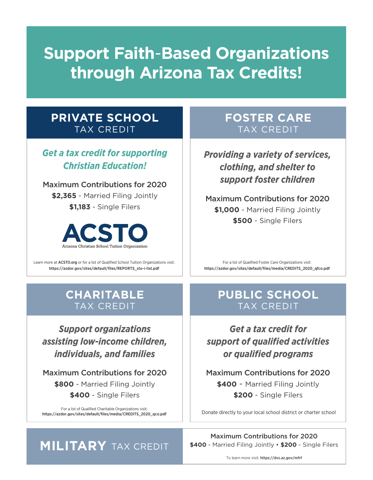## **Support Faith**-**Based Organizations through Arizona Tax Credits!**

#### **PRIVATE SCHOOL** TAX CREDIT

#### *Get a tax credit for supporting Christian Education!*

Maximum Contributions for 2020 **\$2,365** - Married Filing Jointly **\$1,183** - Single Filers



Learn more at ACSTO.org or for a list of Qualified School Tuition Organizations visit: https://azdor.gov/sites/default/files/REPORTS\_sto-i-list.pdf

#### **CHARITABLE** TAX CREDIT

*Support organizations assisting low-income children, individuals, and families*

Maximum Contributions for 2020 **\$800** - Married Filing Jointly **\$400** - Single Filers

For a list of Qualified Charitable Organizations visit:

#### **FOSTER CARE** TAX CREDIT

*Providing a variety of services, clothing, and shelter to support foster children*

Maximum Contributions for 2020 **\$1,000** - Married Filing Jointly **\$500** - Single Filers

For a list of Qualified Foster Care Organizations visit: https://azdor.gov/sites/default/files/media/CREDITS\_2020\_qfco.pdf

#### **PUBLIC SCHOOL** TAX CREDIT

*Get a tax credit for support of qualified activities or qualified programs*

Maximum Contributions for 2020 **\$400** - Married Filing Jointly **\$200** - Single Filers

https://azdor.gov/sites/default/files/media/CREDITS\_2020\_qco.pdf Donate directly to your local school district or charter school

Maximum Contributions for 2020

### **MILITARY** TAX CREDIT

**\$400** - Married Filing Jointly • **\$200** - Single Filers

To learn more visit: https://dvs.az.gov/mfrf